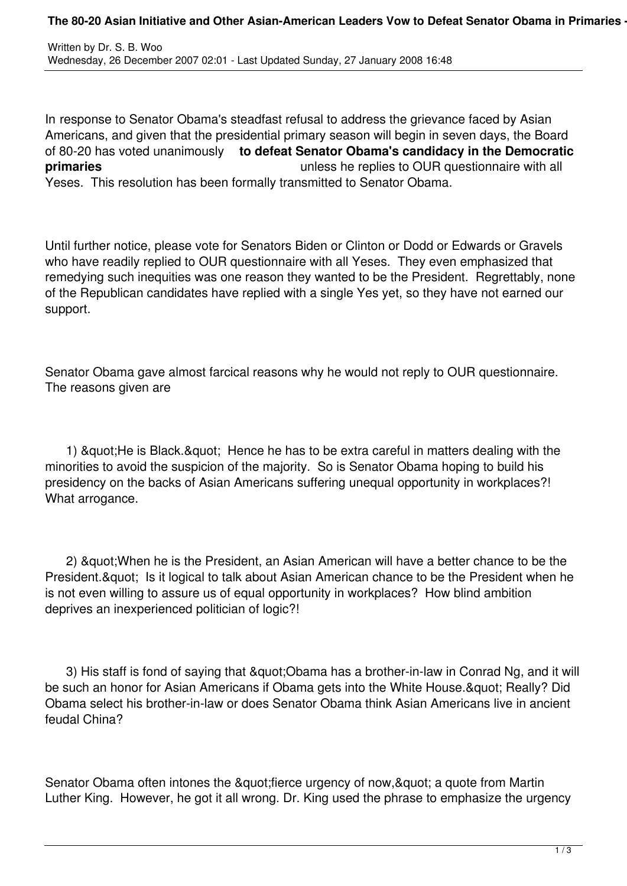In response to Senator Obama's steadfast refusal to address the grievance faced by Asian Americans, and given that the presidential primary season will begin in seven days, the Board of 80-20 has voted unanimously **to defeat Senator Obama's candidacy in the Democratic primaries primaries unless he replies to OUR questionnaire with all** Yeses. This resolution has been formally transmitted to Senator Obama.

Until further notice, please vote for Senators Biden or Clinton or Dodd or Edwards or Gravels who have readily replied to OUR questionnaire with all Yeses. They even emphasized that remedying such inequities was one reason they wanted to be the President. Regrettably, none of the Republican candidates have replied with a single Yes yet, so they have not earned our support.

Senator Obama gave almost farcical reasons why he would not reply to OUR questionnaire. The reasons given are

1) & guot; He is Black. & guot; Hence he has to be extra careful in matters dealing with the minorities to avoid the suspicion of the majority. So is Senator Obama hoping to build his presidency on the backs of Asian Americans suffering unequal opportunity in workplaces?! What arrogance.

2) & quot; When he is the President, an Asian American will have a better chance to be the President. & quot; Is it logical to talk about Asian American chance to be the President when he is not even willing to assure us of equal opportunity in workplaces? How blind ambition deprives an inexperienced politician of logic?!

3) His staff is fond of saying that " Obama has a brother-in-law in Conrad Ng, and it will be such an honor for Asian Americans if Obama gets into the White House. & quot: Really? Did Obama select his brother-in-law or does Senator Obama think Asian Americans live in ancient feudal China?

Senator Obama often intones the " fierce urgency of now, & quot; a quote from Martin Luther King. However, he got it all wrong. Dr. King used the phrase to emphasize the urgency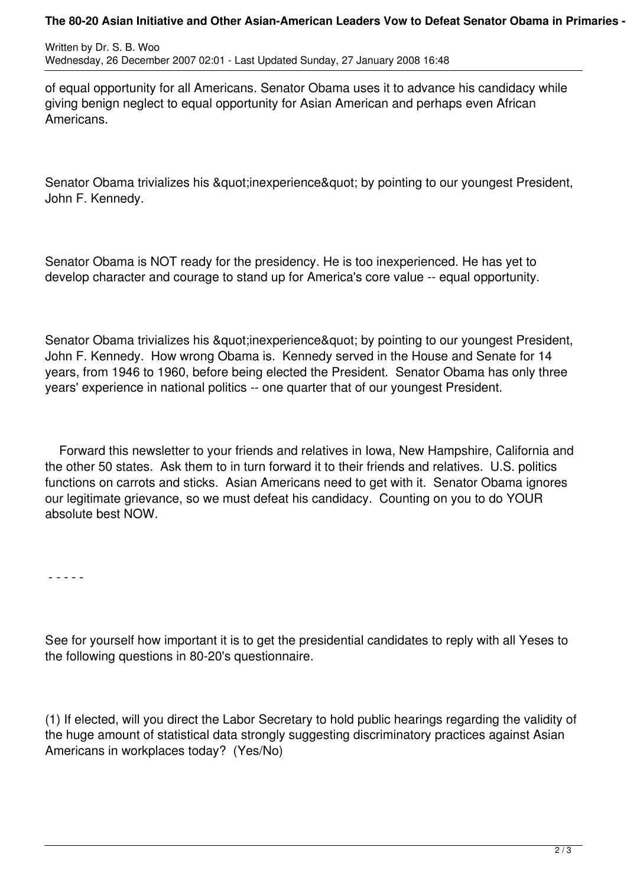## The 80-20 Asian Initiative and Other Asian-American Leaders Vow to Defeat Senator Obama in Primaries -

Written by Dr. S. B. Woo Wednesday, 26 December 2007 02:01 - Last Updated Sunday, 27 January 2008 16:48

of equal opportunity for all Americans. Senator Obama uses it to advance his candidacy while giving benign neglect to equal opportunity for Asian American and perhaps even African Americans.

Senator Obama trivializes his " inexperience " by pointing to our youngest President, John F. Kennedy.

Senator Obama is NOT ready for the presidency. He is too inexperienced. He has yet to develop character and courage to stand up for America's core value -- equal opportunity.

Senator Obama trivializes his "inexperience" by pointing to our youngest President, John F. Kennedy. How wrong Obama is. Kennedy served in the House and Senate for 14 years, from 1946 to 1960, before being elected the President. Senator Obama has only three years' experience in national politics -- one quarter that of our youngest President.

 Forward this newsletter to your friends and relatives in Iowa, New Hampshire, California and the other 50 states. Ask them to in turn forward it to their friends and relatives. U.S. politics functions on carrots and sticks. Asian Americans need to get with it. Senator Obama ignores our legitimate grievance, so we must defeat his candidacy. Counting on you to do YOUR absolute best NOW.

- - - - -

See for yourself how important it is to get the presidential candidates to reply with all Yeses to the following questions in 80-20's questionnaire.

(1) If elected, will you direct the Labor Secretary to hold public hearings regarding the validity of the huge amount of statistical data strongly suggesting discriminatory practices against Asian Americans in workplaces today? (Yes/No)